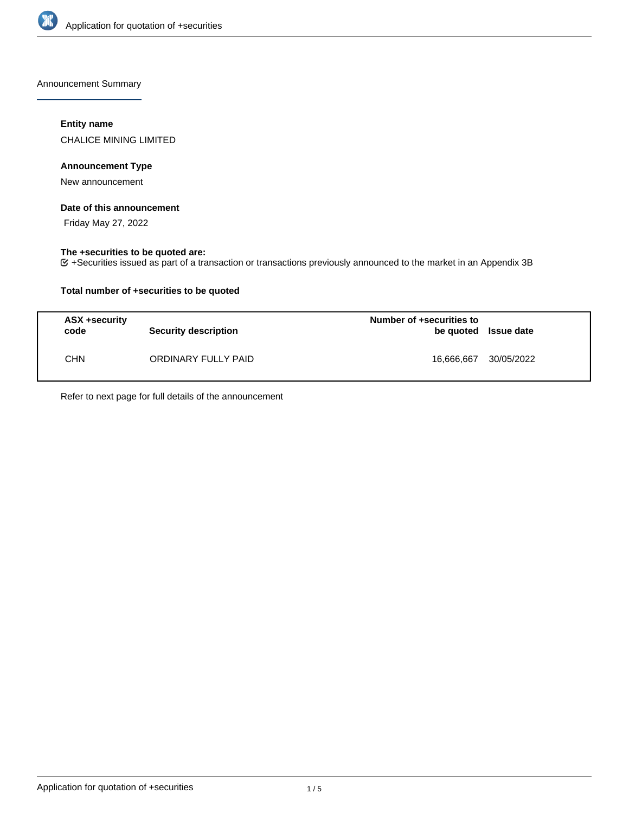

Announcement Summary

## **Entity name**

CHALICE MINING LIMITED

## **Announcement Type**

New announcement

#### **Date of this announcement**

Friday May 27, 2022

### **The +securities to be quoted are:**

+Securities issued as part of a transaction or transactions previously announced to the market in an Appendix 3B

## **Total number of +securities to be quoted**

| ASX +security<br>code | <b>Security description</b> | Number of +securities to<br>be quoted Issue date |            |
|-----------------------|-----------------------------|--------------------------------------------------|------------|
| <b>CHN</b>            | ORDINARY FULLY PAID         | 16.666.667                                       | 30/05/2022 |

Refer to next page for full details of the announcement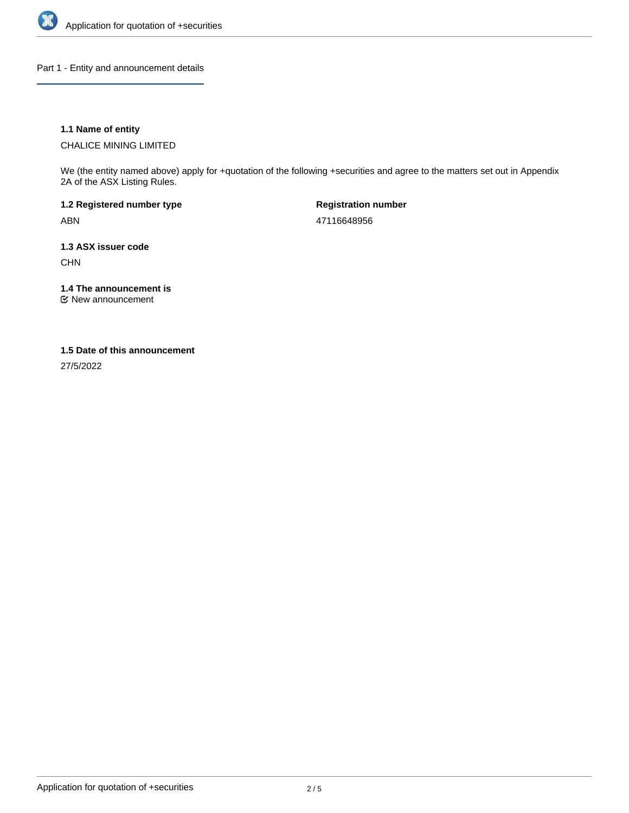

Part 1 - Entity and announcement details

## **1.1 Name of entity**

CHALICE MINING LIMITED

We (the entity named above) apply for +quotation of the following +securities and agree to the matters set out in Appendix 2A of the ASX Listing Rules.

**1.2 Registered number type** ABN

**Registration number** 47116648956

**1.3 ASX issuer code** CHN

**1.4 The announcement is**

New announcement

#### **1.5 Date of this announcement**

27/5/2022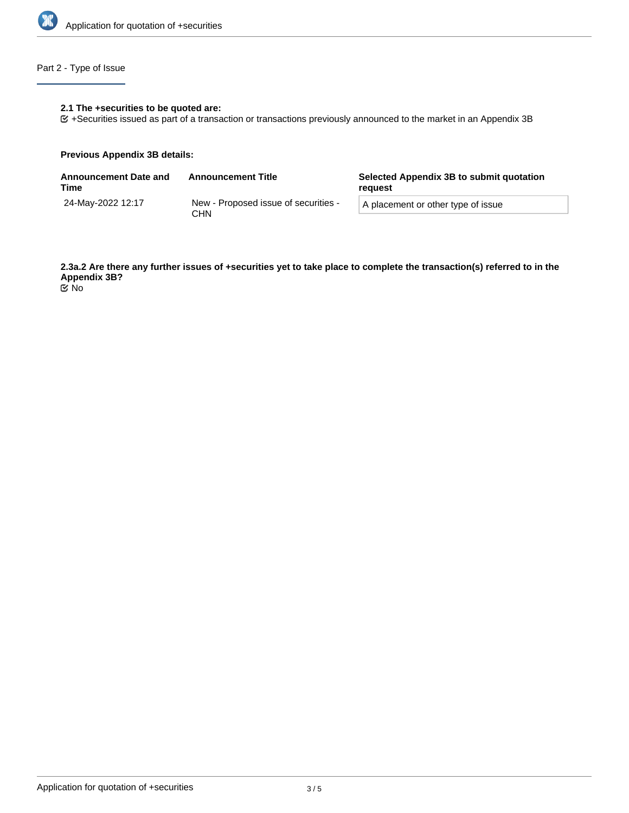

# Part 2 - Type of Issue

## **2.1 The +securities to be quoted are:**

+Securities issued as part of a transaction or transactions previously announced to the market in an Appendix 3B

#### **Previous Appendix 3B details:**

| Announcement Date and<br>Time | <b>Announcement Title</b>                   | Selected Appendix 3B to submit quotation<br>reguest |
|-------------------------------|---------------------------------------------|-----------------------------------------------------|
| 24-Mav-2022 12:17             | New - Proposed issue of securities -<br>CHN | A placement or other type of issue                  |

**2.3a.2 Are there any further issues of +securities yet to take place to complete the transaction(s) referred to in the Appendix 3B?** No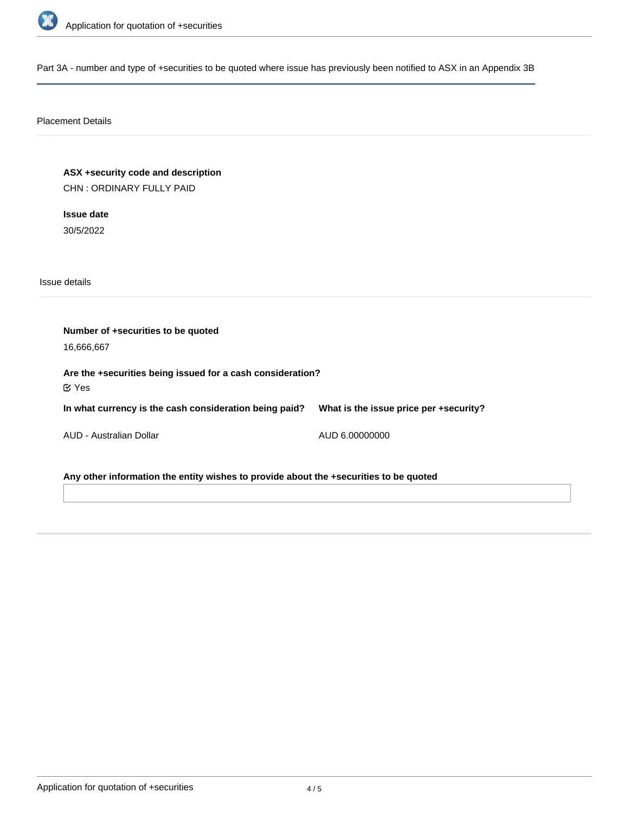

Part 3A - number and type of +securities to be quoted where issue has previously been notified to ASX in an Appendix 3B

# Placement Details

**ASX +security code and description** CHN : ORDINARY FULLY PAID

**Issue date** 30/5/2022

Issue details

**Number of +securities to be quoted** 16,666,667 **Are the +securities being issued for a cash consideration? In what currency is the cash consideration being paid?** AUD - Australian Dollar **What is the issue price per +security?** AUD 6.00000000 Yes

**Any other information the entity wishes to provide about the +securities to be quoted**